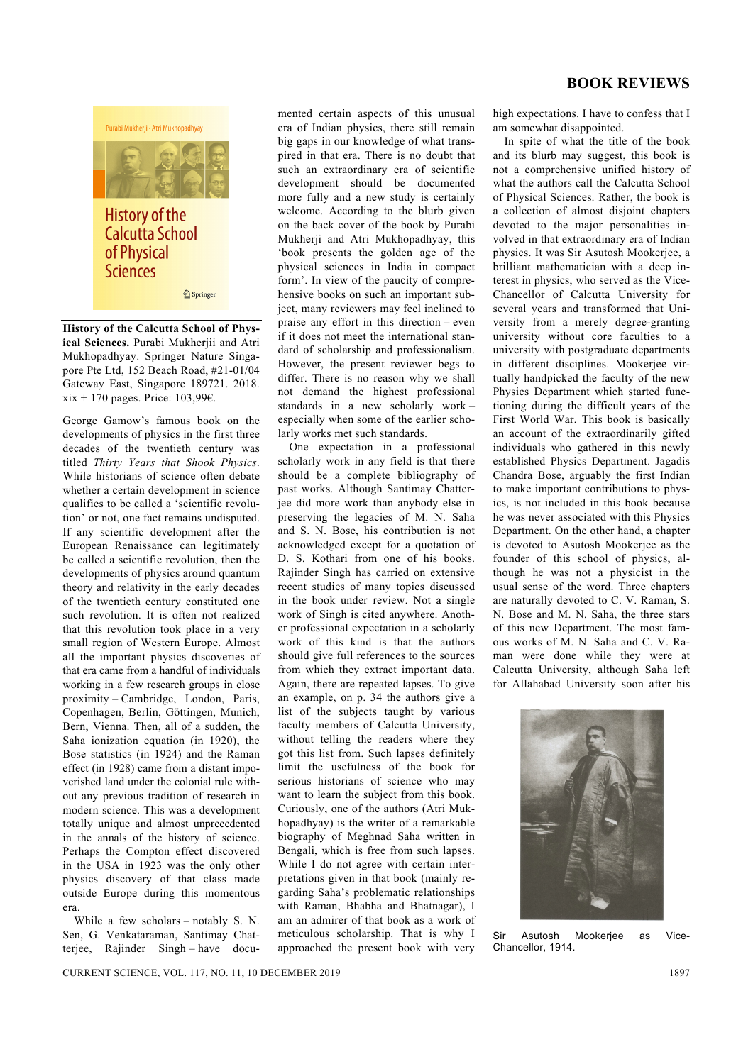

**History of the Calcutta School of Physical Sciences.** Purabi Mukherjii and Atri Mukhopadhyay. Springer Nature Singapore Pte Ltd, 152 Beach Road, #21-01/04 Gateway East, Singapore 189721. 2018. xix + 170 pages. Price: 103,99 $\epsilon$ .

George Gamow's famous book on the developments of physics in the first three decades of the twentieth century was titled *Thirty Years that Shook Physics*. While historians of science often debate whether a certain development in science qualifies to be called a 'scientific revolution' or not, one fact remains undisputed. If any scientific development after the European Renaissance can legitimately be called a scientific revolution, then the developments of physics around quantum theory and relativity in the early decades of the twentieth century constituted one such revolution. It is often not realized that this revolution took place in a very small region of Western Europe. Almost all the important physics discoveries of that era came from a handful of individuals working in a few research groups in close proximity – Cambridge, London, Paris, Copenhagen, Berlin, Göttingen, Munich, Bern, Vienna. Then, all of a sudden, the Saha ionization equation (in 1920), the Bose statistics (in 1924) and the Raman effect (in 1928) came from a distant impoverished land under the colonial rule without any previous tradition of research in modern science. This was a development totally unique and almost unprecedented in the annals of the history of science. Perhaps the Compton effect discovered in the USA in 1923 was the only other physics discovery of that class made outside Europe during this momentous era.

 While a few scholars – notably S. N. Sen, G. Venkataraman, Santimay Chatteriee. Rajinder Singh – have documented certain aspects of this unusual era of Indian physics, there still remain big gaps in our knowledge of what transpired in that era. There is no doubt that such an extraordinary era of scientific development should be documented more fully and a new study is certainly welcome. According to the blurb given on the back cover of the book by Purabi Mukherji and Atri Mukhopadhyay, this 'book presents the golden age of the physical sciences in India in compact form'. In view of the paucity of comprehensive books on such an important subject, many reviewers may feel inclined to praise any effort in this direction – even if it does not meet the international standard of scholarship and professionalism. However, the present reviewer begs to differ. There is no reason why we shall not demand the highest professional standards in a new scholarly work – especially when some of the earlier scholarly works met such standards.

 One expectation in a professional scholarly work in any field is that there should be a complete bibliography of past works. Although Santimay Chatterjee did more work than anybody else in preserving the legacies of M. N. Saha and S. N. Bose, his contribution is not acknowledged except for a quotation of D. S. Kothari from one of his books. Rajinder Singh has carried on extensive recent studies of many topics discussed in the book under review. Not a single work of Singh is cited anywhere. Another professional expectation in a scholarly work of this kind is that the authors should give full references to the sources from which they extract important data. Again, there are repeated lapses. To give an example, on p. 34 the authors give a list of the subjects taught by various faculty members of Calcutta University, without telling the readers where they got this list from. Such lapses definitely limit the usefulness of the book for serious historians of science who may want to learn the subject from this book. Curiously, one of the authors (Atri Mukhopadhyay) is the writer of a remarkable biography of Meghnad Saha written in Bengali, which is free from such lapses. While I do not agree with certain interpretations given in that book (mainly regarding Saha's problematic relationships with Raman, Bhabha and Bhatnagar), I am an admirer of that book as a work of meticulous scholarship. That is why I approached the present book with very high expectations. I have to confess that I am somewhat disappointed.

 In spite of what the title of the book and its blurb may suggest, this book is not a comprehensive unified history of what the authors call the Calcutta School of Physical Sciences. Rather, the book is a collection of almost disjoint chapters devoted to the major personalities involved in that extraordinary era of Indian physics. It was Sir Asutosh Mookerjee, a brilliant mathematician with a deep interest in physics, who served as the Vice-Chancellor of Calcutta University for several years and transformed that University from a merely degree-granting university without core faculties to a university with postgraduate departments in different disciplines. Mookerjee virtually handpicked the faculty of the new Physics Department which started functioning during the difficult years of the First World War. This book is basically an account of the extraordinarily gifted individuals who gathered in this newly established Physics Department. Jagadis Chandra Bose, arguably the first Indian to make important contributions to physics, is not included in this book because he was never associated with this Physics Department. On the other hand, a chapter is devoted to Asutosh Mookerjee as the founder of this school of physics, although he was not a physicist in the usual sense of the word. Three chapters are naturally devoted to C. V. Raman, S. N. Bose and M. N. Saha, the three stars of this new Department. The most famous works of M. N. Saha and C. V. Raman were done while they were at Calcutta University, although Saha left for Allahabad University soon after his



Sir Asutosh Mookerjee as Vice-Chancellor, 1914.